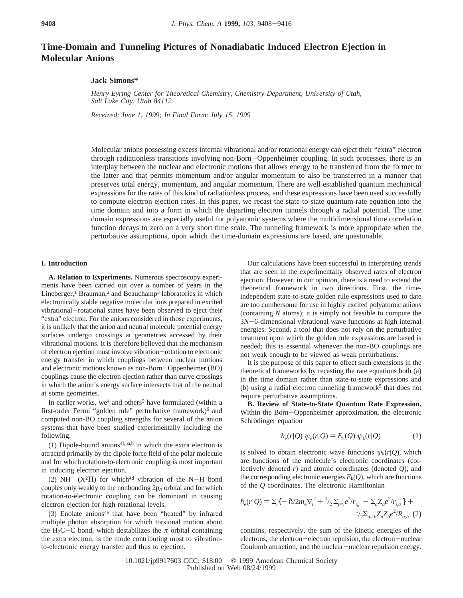# **Time-Domain and Tunneling Pictures of Nonadiabatic Induced Electron Ejection in Molecular Anions**

## **Jack Simons\***

*Henry Eyring Center for Theoretical Chemistry, Chemistry Department, University of Utah, Salt Lake City, Utah 84112*

*Recei*V*ed: June 1, 1999; In Final Form: July 15, 1999*

Molecular anions possessing excess internal vibrational and/or rotational energy can eject their "extra" electron through radiationless transitions involving non-Born-Oppenheimer coupling. In such processes, there is an interplay between the nuclear and electronic motions that allows energy to be transferred from the former to the latter and that permits momentum and/or angular momentum to also be transferred in a manner that preserves total energy, momentum, and angular momentum. There are well established quantum mechanical expressions for the rates of this kind of radiationless process, and these expressions have been used successfully to compute electron ejection rates. In this paper, we recast the state-to-state quantum rate equation into the time domain and into a form in which the departing electron tunnels through a radial potential. The time domain expressions are especially useful for polyatomic systems where the multidimensional time correlation function decays to zero on a very short time scale. The tunneling framework is more appropriate when the perturbative assumptions, upon which the time-domain expressions are based, are questonable.

## **I. Introduction**

**A. Relation to Experiments.** Numerous specroscopy experiments have been carried out over a number of years in the Lineberger,<sup>1</sup> Brauman,<sup>2</sup> and Beauchamp<sup>3</sup> laboratories in which electronically stable negative molecular ions prepared in excited vibrational-rotational states have been observed to eject their "extra" electron. For the anions considered in those experiments, it is unlikely that the anion and neutral molecule potential energy surfaces undergo crossings at geometries accessed by their vibrational motions. It is therefore believed that the mechanism of electron ejection must involve vibration-rotation to electronic energy transfer in which couplings between nuclear motions and electronic motions known as non-Born-Oppenheimer (BO) couplings cause the electron ejection rather than curve crossings in which the anion's energy surface intersects that of the neutral at some geometries.

In earlier works, we<sup>4</sup> and others<sup>5</sup> have formulated (within a first-order Fermi "golden rule" perturbative framework)<sup>6</sup> and computed non-BO coupling strengths for several of the anion systems that have been studied experimentally including the following.

(1) Dipole-bound anions<sup>4f,5a,b</sup> in which the extra electron is attracted primarily by the dipole force field of the polar molecule and for which rotation-to-electronic coupling is most important in inducing electron ejection.

(2) NH<sup>-</sup> (X<sup>2</sup> $\Pi$ ) for which<sup>4d</sup> vibration of the N-H bond couples only weakly to the nonbonding  $2p_\pi$  orbital and for which rotation-to-electronic coupling can be dominiant in causing electron ejection for high rotational levels.

(3) Enolate anions<sup>4e</sup> that have been "heated" by infrared multiple photon absorption for which torsional motion about the H<sub>2</sub>C-C bond, which destabilizes the  $\pi$  orbital containing the extra electron, is the mode contributing most to vibrationto-electronic energy transfer and thus to ejection.

Our calculations have been successful in interpreting trends that are seen in the experimentally observed rates of electron ejection. However, in our opinion, there is a need to extend the theoretical framework in two directions. First, the timeindependent state-to-state golden rule expressions used to date are too cumbersome for use in highly excited polyatomic anions (containing *N* atoms); it is simply not feasible to compute the <sup>3</sup>*N*-6-dimensional vibrational wave functions at high internal energies. Second, a tool that does not rely on the perturbative treatment upon which the golden rule expressions are based is needed; this is essential whenever the non-BO couplings are not weak enough to be viewed as weak perturbations.

It is the purpose of this paper to effect such extensions in the theoretical frameworks by recasting the rate equations both (a) in the time domain rather than state-to-state expressions and (b) using a radial electron tunneling framework<sup>5</sup> that does not require perturbative assumptions.

**B. Review of State-to-State Quantum Rate Expression.** Within the Born-Oppenheimer approximation, the electronic Schrödinger equation

$$
h_e(r|Q) \psi_k(r|Q) = E_k(Q) \psi_k(r|Q)
$$
 (1)

is solved to obtain electronic wave functions  $\psi_k(r|Q)$ , which are functions of the molecule's electronic coordinates (collectively denoted *r*) and atomic coordinates (denoted *Q*), and the corresponding electronic energies  $E_k(Q)$ , which are functions of the *Q* coordinates. The electronic Hamiltonian

$$
h_{e}(r|Q) = \sum_{i} \{-\hbar/2m_{e}\nabla_{i}^{2} + \frac{1}{2}\sum_{j\neq i}e^{2}/r_{i,j} - \sum_{a}Z_{a}e^{2}/r_{i,a}\} + \frac{1}{2}\sum_{a\neq b}Z_{a}Ze^{2}/R_{a,b} (2)
$$

contains, respectively, the sum of the kinetic energies of the electrons, the electron-electron repulsion, the electron-nuclear Coulomb attraction, and the nuclear-nuclear repulsion energy.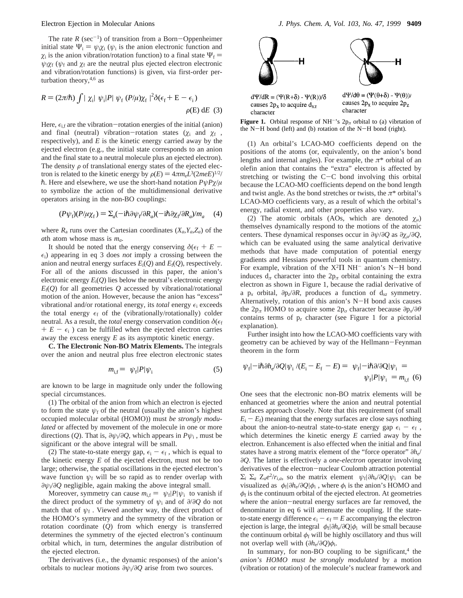The rate  $R$  (sec<sup>-1</sup>) of transition from a Born-Oppenheimer initial state  $\Psi_i = \psi_i \chi_i$  ( $\psi_i$  is the anion electronic function and  $\gamma_i$  is the anion vibration/rotation function) to a final state  $\Psi_f$  =  $\psi_f \chi_f$  ( $\psi_f$  and  $\chi_f$  are the neutral plus ejected electron electronic and vibration/rotation functions) is given, via first-order perturbation theory, $4,6$  as

$$
R = (2\pi/\hbar) \int |\langle \chi_i | \langle \psi_i | P | \psi_f \rangle (P/\mu) \chi_f \rangle|^2 \delta(\epsilon_f + E - \epsilon_i)
$$
  
  $\rho(E) dE$  (3)

Here,  $\epsilon_{i,f}$  are the vibration-rotation energies of the initial (anion) and final (neutral) vibration-rotation states  $(\chi_i$  and  $\chi_f$ , respectively), and *E* is the kinetic energy carried away by the ejected electron (e.g., the initial state corresponds to an anion and the final state to a neutral molecule plus an ejected electron). The density  $\rho$  of translational energy states of the ejected electron is related to the kinetic energy by  $\rho(E) = 4\pi m_e L^3 (2meE)^{1/2}/$ *h*. Here and elsewhere, we use the short-hand notation  $PψPχ/μ$ to symbolize the action of the multidimensional derivative operators arising in the non-BO couplings:

$$
(P\psi_f)(P/\mu\chi_f) = \Sigma_a(-i\hbar\partial\psi_f/\partial R_a)(-i\hbar\partial\chi_f/\partial R_a)/m_a \quad (4)
$$

where  $R_a$  runs over the Cartesian coordinates  $(X_a, Y_a, Z_a)$  of the *a*th atom whose mass is *ma*.

It should be noted that the energy conserving  $\delta(\epsilon_f + E \epsilon_i$ ) appearing in eq 3 does *not* imply a crossing between the anion and neutral energy surfaces  $E_i(Q)$  and  $E_f(Q)$ , respectively. For all of the anions discussed in this paper, the anion's electronic energy  $E_i(Q)$  lies below the neutral's electronic energy  $E_f(Q)$  for all geometries  $Q$  accessed by vibrational/rotational motion of the anion. However, because the anion has "excess" vibrational and/or rotational energy, its *total* energy  $\epsilon_i$  exceeds the total energy  $\epsilon_f$  of the (vibrationally/rotationally) colder neutral. As a result, the *total* energy conservation condition  $\delta(\epsilon_f)$  $+ E - \epsilon_i$ ) can be fulfilled when the ejected electron carries away the excess energy *E* as its asymptotic kinetic energy.

**C. The Electronic Non-BO Matrix Elements.** The integrals over the anion and neutral plus free electron electronic states

$$
m_{i,f} = \langle \psi_f | P | \psi_i \rangle \tag{5}
$$

are known to be large in magnitude only under the following special circumstances.

(1) The orbital of the anion from which an electron is ejected to form the state  $\psi_f$  of the neutral (usually the anion's highest occupied molecular orbital (HOMO)) must *be strongly modulated* or affected by movement of the molecule in one or more directions (*Q*). That is,  $\partial \psi_i / \partial Q$ , which appears in  $P \psi_i$ , must be significant or the above integral will be small.

(2) The state-to-state energy gap,  $\epsilon_i - \epsilon_f$ , which is equal to the kinetic energy *E* of the ejected electron, must not be too large; otherwise, the spatial oscillations in the ejected electron's wave function  $\psi_f$  will be so rapid as to render overlap with *∂ψ*i/*∂Q* negligible, again making the above integral small.

Moreover, symmetry can cause  $m_{i,f} = \langle \psi_f | P | \psi_i \rangle$  to vanish if the direct product of the symmetry of  $\psi_i$  and of  $\partial/\partial Q$  do not match that of  $\psi_f$ . Viewed another way, the direct product of the HOMO's symmetry and the symmetry of the vibration or rotation coordinate (*Q*) from which energy is transferred determines the symmetry of the ejected electron's continuum orbital which, in turn, determines the angular distribution of the ejected electron.

The derivatives (i.e., the dynamic responses) of the anion's orbitals to nuclear motions *∂ψ*i/*∂Q* arise from two sources.



**Figure 1.** Orbital response of NH<sup>-</sup>'s  $2p_\pi$  orbital to (a) vibrtation of the N-H bond (left) and (b) rotation of the N-H bond (right).

(1) An orbital's LCAO-MO coefficients depend on the positions of the atoms (or, equivalently, on the anion's bond lengths and internal angles). For example, the *π*\* orbital of an olefin anion that contains the "extra" electron is affected by stretching or twisting the  $C-C$  bond involving this orbital because the LCAO-MO coefficients depend on the bond length and twist angle. As the bond stretches or twists, the  $\pi^*$  orbital's LCAO-MO coefficients vary, as a result of which the orbital's energy, radial extent, and other properties also vary.

(2) The atomic orbitals (AOs, which are denoted  $\chi_u$ ) themselves dynamically respond to the motions of the atomic centers. These dynamical responses occur in *∂ψ*/*∂Q* as *∂øµ*/*∂Q*, which can be evaluated using the same analytical derivative methods that have made computation of potential energy gradients and Hessians powerful tools in quantum chemistry. For example, vibration of the  $X^2\Pi$  NH<sup>-</sup> anion's N-H bond induces  $d_{\pi}$  character into the  $2p_{\pi}$  orbital containing the extra electron as shown in Figure 1, because the radial derivative of a p*<sup>x</sup>* orbital, *∂*p*z*/*∂R*, produces a function of d*xz* symmetry. Alternatively, rotation of this anion's N-H bond axis causes the 2p*<sup>π</sup>* HOMO to acquire some 2p*<sup>σ</sup>* character because *∂*p*x*/*∂θ* contains terms of  $p_z$  character (see Figure 1 for a pictorial explanation).

Further insight into how the LCAO-MO coefficients vary with geometry can be achieved by way of the Hellmann-Feynman theorem in the form

$$
\langle \psi_{\rm f} | -i\hbar \partial h_{\rm e} / \partial Q | \psi_{\rm i} \rangle / (E_{\rm i} - E_{\rm f} - E) = \langle \psi_{\rm f} | -i\hbar \partial / \partial Q | \psi_{\rm i} \rangle =
$$
  

$$
\langle \psi_{\rm f} | P | \psi_{\rm i} \rangle = m_{\rm i, f} \tag{6}
$$

One sees that the electronic non-BO matrix elements will be enhanced at geometries where the anion and neutral potential surfaces approach closely. Note that this requirement (of small  $E_i - E_f$ ) meaning that the energy surfaces are close says nothing about the anion-to-neutral state-to-state energy gap  $\epsilon_i - \epsilon_f$ , which determines the kinetic energy *E* carried away by the electron. Enhancement is also effected when the initial and final states have a strong matrix element of the "force operator" *∂h*e/ *∂Q*. The latter is effectively a *one-electron* operator involving derivatives of the electron-nuclear Coulomb attraction potential  $\Sigma$ *i* Σ*a* Z*ae*<sup>2</sup>/r<sub>*i,a*</sub>, so the matrix element  $\langle \psi_f | \partial h_e / \partial Q | \psi_i \rangle$  can be visualized as  $\langle \phi_f | \partial h_e / \partial Q | \phi_i \rangle$ , where  $\phi_i$  is the anion's HOMO and  $\phi_f$  is the continuum orbital of the ejected electron. At geometries where the anion-neutral energy surfaces are far removed, the denominator in eq 6 will attenuate the coupling. If the stateto-state energy difference  $\epsilon_i - \epsilon_f = E$  accompanying the electron ejection is large, the integral 〈*φ*f|*∂h*e/*∂*Q|*φ*i〉 will be small because the continuum orbital  $\phi_f$  will be highly oscillatory and thus will not overlap well with (*∂h*e/*∂Q*)*φ*i.

In summary, for non-BO coupling to be significant, $4$  the *anion's HOMO must be strongly modulated* by a motion (vibration or rotation) of the molecule's nuclear framework and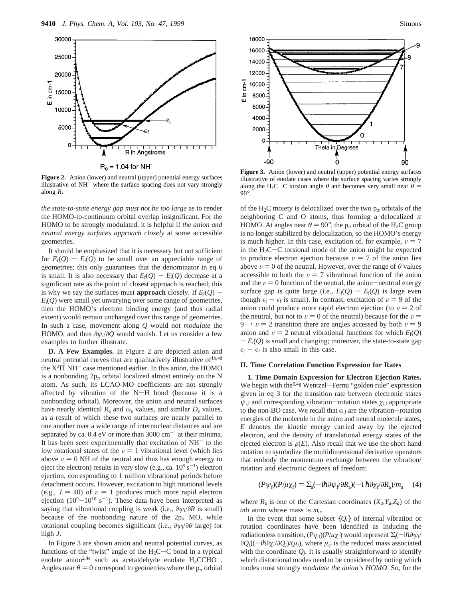

**Figure 2.** Anion (lower) and neutral (upper) potential energy surfaces illustrative of NH- where the surface spacing does not vary strongly along *R*.

*the state-to-state energy gap must not be too large* as to render the HOMO-to-continuum orbital overlap insignificant. For the HOMO to be strongly modulated, it is helpful if *the anion and neutral energy surfaces approach closely* at some accessible geometries.

It should be emphasized that it is necessary but not sufficient for  $E_f(Q) - E_i(Q)$  to be small over an appreciable range of geometries; this only guarantees that the denominator in eq 6 is small. It is also necessary that  $E_f(Q) - E_i(Q)$  decrease at a significant rate as the point of closest approach is reached; this is why we say the surfaces must **approach** closely. If  $E_f(Q)$  - $E_i(Q)$  were small yet unvarying over some range of geometries, then the HOMO's electron binding energy (and thus radial extent) would remain unchanged over this range of geometries. In such a case, movement along *Q* would not *modulate* the HOMO, and thus *∂ψ*i/*∂Q* would vanish. Let us consider a few examples to further illustrate.

**D. A Few Examples.** In Figure 2 are depicted anion and neutral potential curves that are qualitatively illustrative of<sup>1b,4d</sup> the  $X^2\Pi$  NH<sup>-</sup> case mentioned earlier. In this anion, the HOMO is a nonbonding  $2p_\pi$  orbital localized almost entirely on the N atom. As such, its LCAO-MO coefficients are not strongly affected by vibration of the  $N-H$  bond (because it is a nonbonding orbital). Moreover, the anion and neutral surfaces have nearly identical  $R_e$  and  $\omega_e$  values, and similar  $D_e$  values, as a result of which these two surfaces are nearly parallel to one another over a wide range of internuclear distances and are separated by ca.  $0.4$  eV or more than 3000 cm<sup>-1</sup> at their minima. It has been seen experimentally that excitation of  $NH<sup>-</sup>$  to the low rotational states of the  $v = 1$  vibrational level (which lies above  $v = 0$  NH of the neutral and thus has enough energy to eject the electron) results in very slow (e.g., ca.  $10^8$  s<sup>-1</sup>) electron ejection, corresponding to 1 million vibrational periods before detachment occurs. However, excitation to high rotational levels (e.g.,  $J = 40$ ) of  $v = 1$  produces much more rapid electron ejection  $(10^9 - 10^{10} \text{ s}^{-1})$ . These data have been interpreted as saying that vibrational coupling is weak (i.e., *∂ψ*i/*∂R* is small) because of the nonbonding nature of the  $2p_\pi$  MO, while rotational coupling becomes significant (i.e., *∂ψ*i/*∂θ* large) for high *J*.

In Figure 3 are shown anion and neutral potential curves, as functions of the "twist" angle of the  $H_2C-C$  bond in a typical enolate anion<sup>2,4e</sup> such as acetaldehyde enolate  $H_2CCHO^-$ . Angles near  $\theta = 0$  correspond to geometries where the  $p_{\pi}$  orbital



**Figure 3.** Anion (lower) and neutral (upper) potential energy surfaces illustrative of enolate cases where the surface spacing varies strongly along the H<sub>2</sub>C-C torsion angle  $\theta$  and becomes very small near  $\theta$  =  $90^\circ$ .

of the H<sub>2</sub>C moiety is delocalized over the two  $p_\pi$  orbitals of the neighboring C and O atoms, thus forming a delocalized *π* HOMO. At angles near  $\theta = 90^{\circ}$ , the p<sub>*π*</sub> orbital of the H<sub>2</sub>C group is no longer stabilized by delocalization, so the HOMO's energy is much higher. In this case, excitation of, for example,  $v = 7$ in the  $H_2C-C$  torsional mode of the anion might be expected to produce electron ejection because  $v = 7$  of the anion lies above  $v = 0$  of the neutral. However, over the range of  $\theta$  values accessible to both the  $v = 7$  vibrational function of the anion and the  $v = 0$  function of the neutral, the anion-neutral energy surface gap is quite large (i.e.,  $E_f(Q) - E_i(Q)$  is large even though  $\epsilon_i - \epsilon_f$  is small). In contrast, excitation of  $v = 9$  of the anion could produce more rapid electron ejection (to  $v = 2$  of the neutral, but not to  $v = 0$  of the neutral) because for the  $v =$  $9 \rightarrow v = 2$  transition there are angles accessed by both  $v = 9$ anion and  $v = 2$  neutral vibrational functions for which  $E_f(Q)$  $-E_i(Q)$  is small and changing; moreover, the state-to-state gap  $\epsilon_i$  -  $\epsilon_f$  is also small in this case.

## **II. Time Correlation Function Expression for Rates**

**1. Time Domain Expression for Electron Ejection Rates.** We begin with the<sup>6,4g</sup> Wentzel-Fermi "golden rule" expression given in eq 3 for the transition rate between electronic states  $\psi$ <sub>i,f</sub> and corresponding vibration-rotation states  $\chi$ <sub>i,f</sub> appropriate to the non-BO case. We recall that  $\epsilon_{i,f}$  are the vibration-rotation energies of the molecule in the anion and neutral molecule states, *E* denotes the kinetic energy carried away by the ejected electron, and the density of translational energy states of the ejected electron is  $\rho(E)$ . Also recall that we use the short hand notation to symbolize the multidimensional derivative operators that embody the momentum exchange between the vibration/ rotation and electronic degrees of freedom:

$$
(P\psi_f)(P/\mu\chi_f) = \Sigma_a(-i\hbar\partial\psi_f/\partial R_a)(-i\hbar\partial\chi_f/\partial R_a)/m_a \quad (4)
$$

where  $R_a$  is one of the Cartesian coordinates  $(X_a, Y_a, Z_a)$  of the *a*th atom whose mass is *ma*.

In the event that some subset  ${Q_i}$  of internal vibration or rotation coordinates have been identified as inducing the radiationless transition,  $(P\psi_f)(P/\psi_f)$  would represent  $\Sigma_j(-i\hbar\partial\psi_f/$ *∂Q<sub>j</sub>*)(−*ih∂χ*<sub>f</sub>/*∂Q<sub>j</sub>*)/(*µ<sub>j</sub>*), where *µ<sub><i>Ψ*</sub> is the reduced mass associated with the coordinate  $Q_i$ . It is usually straightforward to identify which distortional modes need to be considered by noting which modes most strongly *modulate the anion's HOMO*. So, for the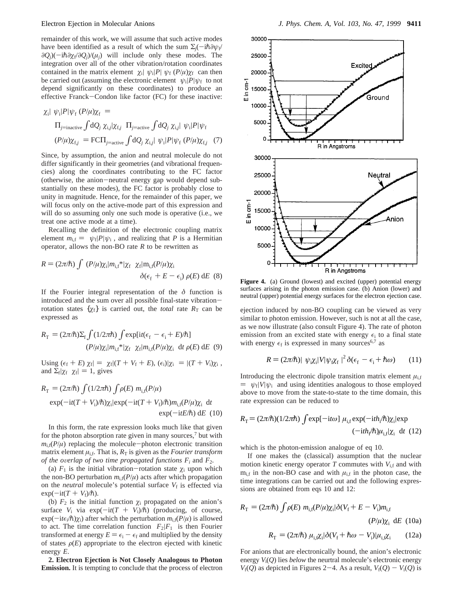remainder of this work, we will assume that such active modes have been identified as a result of which the sum  $\Sigma_i$  $(i\hbar \partial \psi_i)^T$ *<sup>∂</sup>Qj*)(-ip*∂ø*f/*∂Qj*)/(*µj*) will include only these modes. The integration over all of the other vibration/rotation coordinates contained in the matrix element  $\langle \chi_i | \langle \psi_i | P | \psi_f \rangle (P/\mu) \chi_f \rangle$  can then be carried out (assuming the electronic element  $\langle \psi_i | P | \psi_f \rangle$  to not depend significantly on these coordinates) to produce an effective Franck-Condon like factor (FC) for these inactive:

$$
\langle \chi_{i} | \langle \psi_{i} | P | \psi_{f} \rangle (P/\mu) \chi_{f} \rangle =
$$
  
\n
$$
\Pi_{j=\text{inactive}} \int dQ_{j} \langle \chi_{i,j} | \chi_{f,j} \rangle \Pi_{j=\text{active}} \int dQ_{j} \langle \chi_{i,j} | \langle \psi_{i} | P | \psi_{f} \rangle
$$
  
\n
$$
(P/\mu) \chi_{f,j} \rangle = \text{FCT}_{j=\text{active}} \int dQ_{j} \langle \chi_{i,j} | \langle \psi_{i} | P | \psi_{f} \rangle (P/\mu) \chi_{f,j} \rangle
$$
 (7)

Since, by assumption, the anion and neutral molecule do not differ significantly in their geometries (and vibrational frequencies) along the coordinates contributing to the FC factor (otherwise, the anion-neutral energy gap would depend substantially on these modes), the FC factor is probably close to unity in magnitude. Hence, for the remainder of this paper, we will focus only on the active-mode part of this expression and will do so assuming only one such mode is operative (i.e., we treat one active mode at a time).

Recalling the definition of the electronic coupling matrix element  $m_{if} = \langle \psi_f | P | \psi_i \rangle$ , and realizing that *P* is a Hermitian operator, allows the non-BO rate *R* to be rewritten as

$$
R = (2\pi/\hbar) \int \langle (P/\mu)\chi_i | m_{i,f}^* | \chi_f \rangle \langle \chi_f | m_{i,f} (P/\mu) \chi_i \rangle
$$
  

$$
\delta(\epsilon_f + E - \epsilon_i) \rho(E) dE
$$
 (8)

If the Fourier integral representation of the  $\delta$  function is introduced and the sum over all possible final-state vibrationrotation states  $\{\chi_f\}$  is carried out, the *total* rate  $R_T$  can be expressed as

$$
R_{\rm T} = (2\pi/\hbar)\Sigma_{\rm f} \int (1/2\pi\hbar) \int \exp[i t(\epsilon_{\rm f} - \epsilon_{\rm i} + E)/\hbar]
$$
  

$$
\langle (P/\mu)\chi_{\rm i}|m_{\rm i,f}^*|\chi_{\rm f}\rangle\langle\chi_{\rm f}|m_{\rm i,f}(P/\mu)\chi_{\rm i}\rangle \, {\rm d}t \, \rho(E) \, {\rm d}E \, (9)
$$

Using  $(\epsilon_f + E)\langle \chi_f | = \langle \chi_f | (T + V_f + E), (\epsilon_i) | \chi_i \rangle = | (T + V_i) \chi_i \rangle$ , and  $\Sigma_f|\chi_f\rangle\langle\chi_f| = 1$ , gives

$$
R_{\rm T} = (2\pi/\hbar) \int (1/2\pi\hbar) \int \rho(E) \langle m_{\rm i,f}(P/\mu) \rangle
$$
  
\n
$$
\exp(-\mathrm{i}t(T+V_{\rm i})/\hbar) \chi_{\rm i} |\exp(-\mathrm{i}t(T+V_{\rm f})/\hbar) m_{\rm i,f}(P/\mu) \chi_{\rm i} \rangle dt
$$
  
\n
$$
\exp(-\mathrm{i}tE/\hbar) dE \quad (10)
$$

In this form, the rate expression looks much like that given for the photon absorption rate given in many sources, $<sup>7</sup>$  but with</sup>  $m_{\text{i,f}}(P/\mu)$  replacing the molecule-photon electronic transition matrix element  $\mu_{\text{i.f.}}$  That is,  $R_T$  is given as the *Fourier transform of the overlap of two time propagated functions*  $F_i$  *and*  $F_2$ *.* 

(a)  $F_1$  is the initial vibration-rotation state  $\chi_i$  upon which the non-BO perturbation  $m_{i,f}(P/\mu)$  acts after which propagation on the *neutral* molecule's potential surface  $V_f$  is effected via  $\exp(-\mathrm{i}t(T + V_f)/\hbar).$ 

(b)  $F_2$  is the initial function  $\chi_i$  propagated on the anion's surface  $V_i$  via  $exp(-it(T + V_i)/\hbar)$  (producing, of course,  $exp(-it\epsilon_i/\hbar)\chi_i$ ) after which the perturbation  $m_{i,f}(P/\mu)$  is allowed to act. The time correlation function  $\langle F_2|F_1\rangle$  is then Fourier transformed at energy  $E = \epsilon_i - \epsilon_f$  and multiplied by the density of states  $\rho(E)$  appropriate to the electron ejected with kinetic energy *E*.

**2. Electron Ejection is Not Closely Analogous to Photon Emission.** It is tempting to conclude that the process of electron



Figure 4. (a) Ground (lowest) and excited (upper) potential energy surfaces arising in the photon emission case. (b) Anion (lower) and neutral (upper) potential energy surfaces for the electron ejection case.

ejection induced by non-BO coupling can be viewed as very similar to photon emission. However, such is not at all the case, as we now illustrate (also consult Figure 4). The rate of photon emission from an excited state with energy  $\epsilon_i$  to a final state with energy  $\epsilon_f$  is expressed in many sources<sup>6,7</sup> as

$$
R = (2\pi/\hbar)|\langle\psi_i\chi_i|V|\psi_j\chi_i\rangle|^2 \delta(\epsilon_f - \epsilon_i + \hbar\omega)
$$
 (11)

Introducing the electronic dipole transition matrix element  $\mu_{\text{if}}$  $= \langle \psi_f | V | \psi_i \rangle$  and using identities analogous to those employed above to move from the state-to-state to the time domain, this rate expression can be reduced to

$$
R_{\rm T} = (2\pi/\hbar)(1/2\pi\hbar) \int \exp[-\mathrm{i}t\omega]\langle\mu_{\rm i,f}\exp(-\mathrm{i}t h_{\rm i}/\hbar)\chi_{\rm i}|\exp(-\mathrm{i}t h_{\rm f}/\hbar)\mu_{\rm i,f}|\chi_{\rm i}\rangle \, \mathrm{d}t \tag{12}
$$

which is the photon-emission analogue of eq 10.

If one makes the (classical) assumption that the nuclear motion kinetic energy operator  $T$  commutes with  $V_{i,f}$  and with  $m_{i,f}$  in the non-BO case and with  $\mu_{i,f}$  in the photon case, the time integrations can be carried out and the following expressions are obtained from eqs 10 and 12:

$$
R_{\rm T} = (2\pi/\hbar) \int \rho(E) \langle m_{\rm i,f}(P/\mu) \chi_{\rm i} | \delta(V_{\rm f} + E - V_{\rm i}) m_{\rm i,f}
$$
  

$$
(P/\mu) \chi_{\rm i} \rangle dE \quad (10a)
$$
  

$$
R_{\rm T} = (2\pi/\hbar) \langle \mu_{\rm i,f} \chi_{\rm i} | \delta(V_{\rm f} + \hbar \omega - V_{\rm i}) | \mu_{\rm i,f} \chi_{\rm i} \rangle \qquad (12a)
$$

For anions that are electronically bound, the anion's electronic energy  $V_i(Q)$  lies *below* the neurtral molecule's electronic energy  $V_f(Q)$  as depicted in Figures 2–4. As a result,  $V_f(Q) - V_i(Q)$  is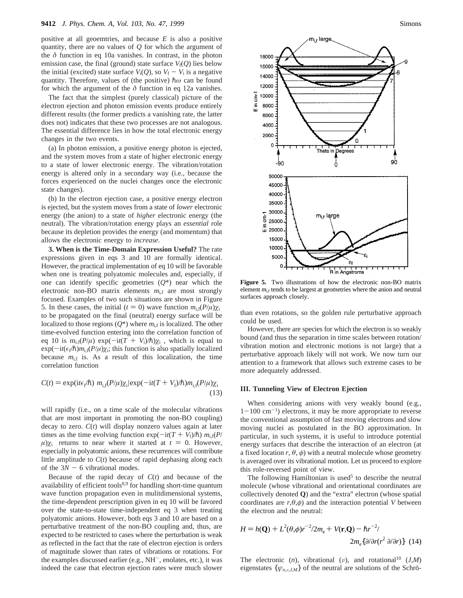positive at all geoemtries, and because *E* is also a positive quantity, there are no values of *Q* for which the argument of the  $\delta$  function in eq 10a vanishes. In contrast, in the photon emission case, the final (ground) state surface  $V_f(Q)$  lies below the initial (excited) state surface  $V_i(Q)$ , so  $V_f - V_i$  is a negative quantity. Therefore, values of (the positive)  $\hbar \omega$  can be found for which the argument of the  $\delta$  function in eq 12a vanishes.

The fact that the simplest (purely classical) picture of the electron ejection and photon emission events produce entirely different results (the former predicts a vanishing rate, the latter does not) indicates that these two processes are not analogous. The essential difference lies in how the total electronic energy changes in the two events.

(a) In photon emission, a positive energy photon is ejected, and the system moves from a state of higher electronic energy to a state of lower electronic energy. The vibration/rotation energy is altered only in a secondary way (i.e., because the forces experienced on the nuclei changes once the electronic state changes).

(b) In the electron ejection case, a positive energy electron is ejected, but the system moves from a state of *lower* electronic energy (the anion) to a state of *higher* electronic energy (the neutral). The vibration/rotation energy plays an *essential* role because its depletion provides the energy (and momentum) that allows the electronic energy to *increase*.

**3. When is the Time-Domain Expression Useful?** The rate expressions given in eqs 3 and 10 are formally identical. However, the practical implementation of eq 10 will be favorable when one is treating polyatomic molecules and, especially, if one can identify specific geometries  $(Q^*)$  near which the electronic non-BO matrix elements  $m_{i,f}$  are most strongly focused. Examples of two such situations are shown in Figure 5. In these cases, the initial ( $t = 0$ ) wave function  $m_{i,f}(P/\mu)\chi_i$ ) to be propagated on the final (neutral) energy surface will be localized to those regions  $(Q^*)$  where  $m_{i,f}$  is localized. The other time-evolved function entering into the correlation function of eq 10 is  $m_{i,f}(P/\mu)$  exp( $-i t(T + V_i)/\hbar$ ) $\chi_i$ , which is equal to  $exp(-it(\epsilon_f/\hbar)m_{i,f}(P/\mu)\chi_i)$ ; this function is also spatially localized because  $m_{i,f}$  is. As a result of this localization, the time correlation function

$$
C(t) = \exp(it\epsilon_f/\hbar)\langle m_{i,f}(P/\mu)\chi_i|\exp(-it(T+V_f)/\hbar)m_{i,f}(P/\mu)\chi_i\rangle
$$
\n(13)

will rapidly (i.e., on a time scale of the molecular vibrations that are most important in promoting the non-BO coupling) decay to zero. *C*(*t*) will display nonzero values again at later times as the time evolving function  $exp(-it(T + V_f)/\hbar) m_{i,f}(P/\hbar)$  $\mu$ ) $\chi$ <sub>i</sub> returns to near where it started at  $t = 0$ . However, especially in polyatomic anions, these recurrences will contribute little amplitude to *C*(*t*) because of rapid dephasing along each of the  $3N - 6$  vibrational modes.

Because of the rapid decay of  $C(t)$  and because of the availability of efficient tools<sup>8,9</sup> for handling short-time quantum wave function propagation even in mulitdimensional systems, the time-dependent prescription given in eq 10 will be favored over the state-to-state time-independent eq 3 when treating polyatomic anions. However, both eqs 3 and 10 are based on a perturbative treatment of the non-BO coupling and, thus, are expected to be restricted to cases where the perturbation is weak as reflected in the fact that the rate of electron ejection is orders of magnitude slower than rates of vibrations or rotations. For the examples discussed earlier (e.g., NH<sup>-</sup>, enolates, etc.), it was indeed the case that electron ejection rates were much slower



**Figure 5.** Two illustrations of how the electronic non-BO matrix element  $m_{if}$  tends to be largest at geometries where the anion and neutral surfaces approach closely.

than even rotations, so the golden rule perturbative approach could be used.

However, there are species for which the electron is so weakly bound (and thus the separation in time scales between rotation/ vibration motion and electronic motions is not large) that a perturbative approach likely will not work. We now turn our attention to a framework that allows such extreme cases to be more adequately addressed.

### **III. Tunneling View of Electron Ejection**

When considering anions with very weakly bound (e.g.,  $1-100$  cm<sup>-1</sup>) electrons, it may be more appropriate to reverse the conventional assumption of fast moving electrons and slow moving nuclei as postulated in the BO approximation. In particular, in such systems, it is useful to introduce potential energy surfaces that describe the interaction of an electron (at a fixed location  $r$ ,  $\theta$ ,  $\phi$ ) with a neutral molecule whose geometry is averaged over its vibrational motion. Let us proceed to explore this role-reversed point of view.

The following Hamiltonian is used<sup>5</sup> to describe the neutral molecule (whose vibrational and orientational coordinates are collectively denoted **Q**) and the "extra" electron (whose spatial coordinates are  $r, \theta, \phi$ ) and the interaction potential *V* between the electron and the neutral:

$$
H = h(\mathbf{Q}) + L^2(\theta, \phi)r^{-2}/2m_e + V(\mathbf{r}, \mathbf{Q}) - \hbar r^{-2}/2m_e \{\partial/\partial r(r^2 \partial/\partial r)\} \tag{14}
$$

The electronic  $(n)$ , vibrational  $(v)$ , and rotational<sup>10</sup>  $(J, M)$ eigenstates  $\{\psi_{n,v,J,M}\}$  of the neutral are solutions of the Schrö-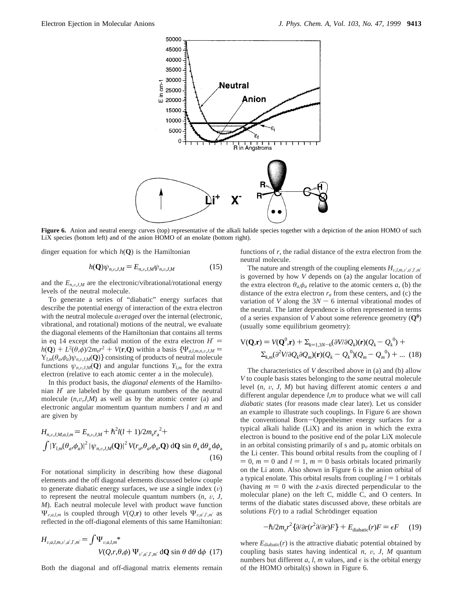

Figure 6. Anion and neutral energy curves (top) representative of the alkali halide species together with a depiction of the anion HOMO of such LiX species (bottom left) and of the anion HOMO of an enolate (bottom right).

dinger equation for which  $h(Q)$  is the Hamiltonian

$$
h(\mathbf{Q})\psi_{n,v,J,M} = E_{n,v,J,M}\psi_{n,v,J,M}
$$
\n(15)

and the  $E_{n,v,J,M}$  are the electronic/vibrational/rotational energy levels of the neutral molecule.

To generate a series of "diabatic" energy surfaces that describe the potential energy of interaction of the extra electron with the neutral molecule *averaged* over the internal (electronic, vibrational, and rotational) motions of the neutral, we evaluate the diagonal elements of the Hamiltonian that contains all terms in eq 14 except the radial motion of the extra electron  $H' =$  $h(\mathbf{Q}) + L^2(\theta, \phi)/2m_e r^2 + V(\mathbf{r}, \mathbf{Q})$  within a basis { $\Psi_{a, l, m, n, v, J, M}$  =  $Y_{lm}(\theta_a, \phi_a)\psi_{n,v,J,M}(\mathbf{Q})\}$  consisting of products of neutral molecule functions  $\psi_{n,v,J,M}(\mathbf{Q})$  and angular functions  $Y_{l,m}$  for the extra electron (relative to each atomic center a in the molecule).

In this product basis, the *diagonal elements* of the Hamiltonian *H*′ are labeled by the quantum numbers of the neutral molecule  $(n, v, J, M)$  as well as by the atomic center (a) and electronic angular momentum quantum numbers *l* and *m* and are given by

$$
H_{n,v,J,M,a,l,m} = E_{n,v,J,M} + \hbar^2 l(l+1)/2m_e r_a^2 +
$$
  

$$
\int |Y_{l,m}(\theta_a, \phi_a)|^2 |\psi_{n,v,J,M}(\mathbf{Q})|^2 V(r_a, \theta_a, \phi_a, \mathbf{Q}) d\mathbf{Q} \sin \theta_a d\theta_a d\phi_a
$$
  
(16)

For notational simplicity in describing how these diagonal elements and the off diagonal elements discussed below couple to generate diabatic energy surfaces, we use a single index  $(v)$ to represent the neutral molecule quantum numbers  $(n, v, J, J)$ *M*). Each neutral molecule level with product wave function  $\Psi_{v,a,l,m}$  is coupled through  $V(Q,r)$  to other levels  $\Psi_{v,a',l',m'}$  as reflected in the off-diagonal elements of this same Hamiltonian:

$$
H_{v,a,l,m,v',a',l',m'} = \int \Psi_{v,a,l,m}^* \Psi_{V',a',l',m'} \, d\mathbf{Q} \sin \theta \, d\theta \, d\phi \tag{17}
$$

Both the diagonal and off-diagonal matrix elements remain

functions of *r*, the radial distance of the extra electron from the neutral molecule.

The nature and strength of the coupling elements  $H_{v,l,m,v',a',l',m'}$ is governed by how *V* depends on (a) the angular location of the extra electron  $\theta_a \phi_a$  relative to the atomic centers *a*, (b) the distance of the extra electron  $r_a$  from these centers, and (c) the variation of *V* along the  $3N - 6$  internal vibrational modes of the neutral. The latter dependence is often represented in terms of a series expansion of *V* about some reference geometry (**Q0**) (usually some equilibrium geometry):

$$
V(\mathbf{Q}, \mathbf{r}) = V(\mathbf{Q}^0, \mathbf{r}) + \Sigma_{k=1,3N-6} (\partial V/\partial Q_k)(\mathbf{r}) (Q_k - Q_k^0) +
$$
  
 
$$
\Sigma_{k,m} (\partial^2 V/\partial Q_k \partial Q_m)(\mathbf{r}) (Q_k - Q_k^0)(Q_m - Q_m^0) + ...
$$
 (18)

The characteristics of *V* described above in (a) and (b) allow *V* to couple basis states belonging to the *same* neutral molecule level (*n*, V, *<sup>J</sup>*, *<sup>M</sup>*) but having different atomic centers *<sup>a</sup>* and different angular dependence *l*,*m* to produce what we will call *diabatic* states (for reasons made clear later). Let us consider an example to illustrate such couplings. In Figure 6 are shown the conventional Born-Oppenheimer energy surfaces for a typical alkali halide (LiX) and its anion in which the extra electron is bound to the positive end of the polar LiX molecule in an orbital consisting primarily of s and  $p_{\sigma}$  atomic orbitals on the Li center. This bound orbital results from the coupling of *l*  $= 0$ ,  $m = 0$  and  $l = 1$ ,  $m = 0$  basis orbitals located primarily on the Li atom. Also shown in Figure 6 is the anion orbital of a typical enolate. This orbital results from coupling  $l = 1$  orbitals (having  $m = 0$  with the *z*-axis directed perpendicular to the molecular plane) on the left C, middle C, and O centers. In terms of the diabatic states discussed above, these orbitals are solutions  $F(r)$  to a radial Schrödinger equation

$$
-\hbar/2m_{\rm e}r^2\{\partial/\partial r(r^2\partial/\partial r)F\} + E_{\rm diabatic}(r)F = \epsilon F \qquad (19)
$$

where  $E_{\text{diabatic}}(r)$  is the attractive diabatic potential obtained by coupling basis states having indentical *<sup>n</sup>*, V, *<sup>J</sup>*, *<sup>M</sup>* quantum numbers but different *a*, *l*, *m* values, and  $\epsilon$  is the orbital energy of the HOMO orbital(s) shown in Figure 6.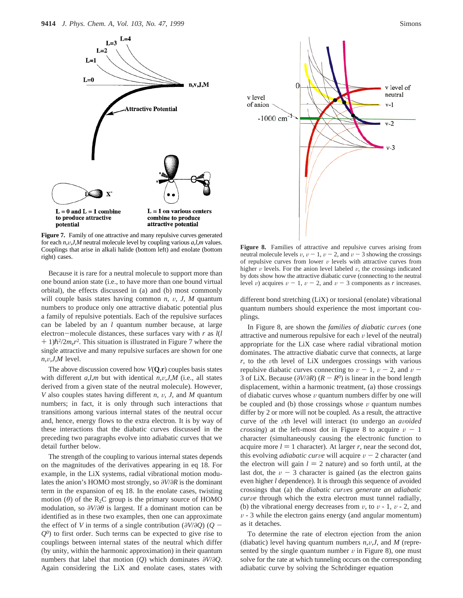

**Figure 7.** Family of one attractive and many repulsive curves generated for each *<sup>n</sup>*,V,*J*,*<sup>M</sup>* neutral molecule level by coupling various *<sup>a</sup>*,*l*,*<sup>m</sup>* values. Couplings that arise in alkali halide (bottom left) and enolate (bottom right) cases.

Because it is rare for a neutral molecule to support more than one bound anion state (i.e., to have more than one bound virtual orbital), the effects discussed in (a) and (b) most commonly will couple basis states having common  $n$ ,  $v$ ,  $J$ ,  $M$  quantum numbers to produce only one attractive diabatic potential plus a family of repulsive potentials. Each of the repulsive surfaces can be labeled by an *l* quantum number because, at large electron-molecule distances, these surfaces vary with *<sup>r</sup>* as *<sup>l</sup>*(*<sup>l</sup>*  $+ 1) \hbar^2 / 2 m_e r^2$ . This situation is illustrated in Figure 7 where the single attractive and many repulsive surfaces are shown for one  $n$ , $v$ ,*J*,*M* level.

The above discussion covered how *V*(**Q**,**r**) couples basis states with different  $a, l, m$  but with identical  $n, v, J, M$  (i.e., all states derived from a given state of the neutral molecule). However, *<sup>V</sup>* also couples states having different *<sup>n</sup>*, V, *<sup>J</sup>*, and *<sup>M</sup>* quantum numbers; in fact, it is only through such interactions that transitions among various internal states of the neutral occur and, hence, energy flows to the extra electron. It is by way of these interactions that the diabatic curves discussed in the preceding two paragraphs evolve into adiabatic curves that we detail further below.

The strength of the coupling to various internal states depends on the magnitudes of the derivatives appearing in eq 18. For example, in the LiX systems, radial vibrational motion modulates the anion's HOMO most strongly, so *∂V*/*∂R* is the dominant term in the expansion of eq 18. In the enolate cases, twisting motion  $(\theta)$  of the R<sub>2</sub>C group is the primary source of HOMO modulation, so *∂V*/*∂θ* is largest. If a dominant motion can be identified as in these two examples, then one can approximate the effect of *V* in terms of a single contribution ( $\partial V/\partial Q$ ) ( $Q$  - $Q<sup>0</sup>$ ) to first order. Such terms can be expected to give rise to couplings between internal states of the neutral which differ (by unity, within the harmonic approximation) in their quantum numbers that label that motion (*Q*) which dominates *∂V*/*∂Q*. Again considering the LiX and enolate cases, states with



different bond stretching (LiX) or torsional (enolate) vibrational quantum numbers should experience the most important couplings.

In Figure 8, are shown the *families of diabatic curves* (one attractive and numerous repulsive for each  $\nu$  level of the neutral) appropriate for the LiX case where radial vibrational motion dominates. The attractive diabatic curve that connects, at large  $r$ , to the  $v$ th level of LiX undergoes crossings with various repulsive diabatic curves connecting to  $v - 1$ ,  $v - 2$ , and  $v -$ 3 of LiX. Because (*∂V*/*∂R*) (*<sup>R</sup>* - *<sup>R</sup>*0) is linear in the bond length displacement, within a harmonic treatment, (a) those crossings of diabatic curves whose  $v$  quantum numbers differ by one will be coupled and (b) those crossings whose  $\nu$  quantum numbes differ by 2 or more will not be coupled. As a result, the attractive curve of the vth level will interact (to undergo an *avoided crossing*) at the left-most dot in Figure 8 to acquire  $v - 1$ character (simultaneously causing the electronic function to acquire more  $l = 1$  character). At larger *r*, near the second dot, this evolving *adiabatic curve* will acquire  $\nu - 2$  character (and the electron will gain  $l = 2$  nature) and so forth until, at the last dot, the  $v - 3$  character is gained (as the electron gains even higher *l* dependence). It is through this sequence of avoided crossings that (a) the *diabatic curves generate an adiabatic curve* through which the extra electron must tunnel radially, (b) the vibrational energy decreases from  $v$ , to  $v - 1$ ,  $v - 2$ , and  $v - 3$  while the electron gains energy (and angular momentum) as it detaches.

To determine the rate of electron ejection from the anion (diabatic) level having quantum numbers  $n, v, J$ , and  $M$  (represented by the single quantum number  $\nu$  in Figure 8), one must solve for the rate at which tunneling occurs on the corresponding adiabatic curve by solving the Schrödinger equation

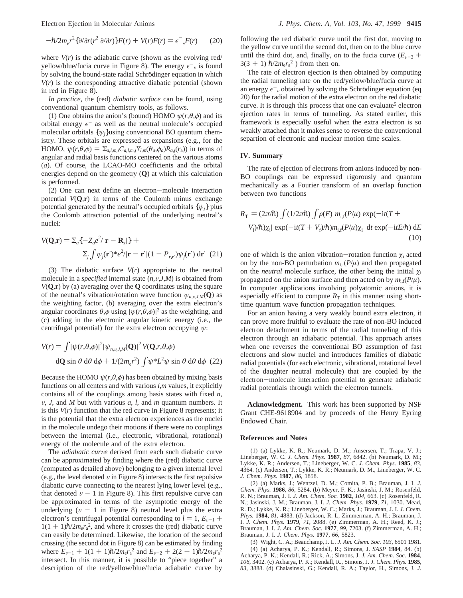$$
-\hbar/2m_{\rm e}r^2\{\partial/\partial r(r^2\partial/\partial r)\}F(r) + V(r)F(r) = \epsilon^-{}_iF(r) \qquad (20)
$$

where  $V(r)$  is the adiabatic curve (shown as the evolving red/ yellow/blue/fucia curve in Figure 8). The energy  $\epsilon_{\nu}$  is found by solving the bound-state radial Schrödinger equation in which  $V(r)$  is the corresponding attractive diabatic potential (shown in red in Figure 8).

*In practice*, the (red) *diabatic surface* can be found, using conventional quantum chemistry tools, as follows.

(1) One obtains the anion's (bound) HOMO  $\psi(r,\theta,\phi)$  and its orbital energy  $\epsilon^-$  as well as the neutral molecule's occupied molecular orbitals  $\{\psi_i\}$ using conventional BO quantum chemistry. These orbitals are expressed as expansions (e.g., for the HOMO,  $\psi(r,\theta,\phi) = \sum_{a,l,m,j} C_{a,l,m,j} Y_{l,m}(\theta_a,\phi_a) R_{a,j}(r_a)$  in terms of angular and radial basis functions centered on the various atoms (*a*). Of course, the LCAO-MO coefficients and the orbital energies depend on the geometry (**Q**) at which this calculation is performed.

(2) One can next define an electron-molecule interaction potential  $V(Q,r)$  in terms of the Coulomb minus exchange potential generated by the neutral's occupied orbitals  $\{\psi_i\}$  plus the Coulomb attraction potential of the underlying neutral's nuclei:

$$
V(\mathbf{Q}, \mathbf{r}) = \sum_{a} \{-Z_{a}e^{2}/|\mathbf{r} - \mathbf{R}_{z}| \} +
$$
  
 
$$
\sum_{j} \int \psi_{j}(\mathbf{r}')^{*}e^{2}/|\mathbf{r} - \mathbf{r}'|(1 - P_{\mathbf{r}, \mathbf{r}'})\psi_{j}(\mathbf{r}') \, \mathrm{d}\mathbf{r}' \tag{21}
$$

(3) The diabatic surface *V*(*r*) appropriate to the neutral molecule in a *specified* internal state  $(n, v, J, M)$  is obtained from  $V(Q,r)$  by (a) averaging over the **Q** coordinates using the square of the neutral's vibration/rotation wave function  $\psi_{n,\nu,J,M}(\mathbf{Q})$  as the weighting factor, (b) averaging over the extra electron's angular coordinates  $\theta$ , $\phi$  using  $|\psi(r,\theta,\phi)|^2$  as the weighting, and (c) adding in the electronic angular kinetic energy (i.e., the centrifugal potential) for the extra electron occupying *ψ*:

$$
V(r) = \int |\psi(r,\theta,\phi)|^2 |\psi_{n,v,J,M}(\mathbf{Q})|^2 V(\mathbf{Q},r,\theta,\phi)
$$
  
d $\mathbf{Q}$  sin  $\theta$  d $\theta$  d $\phi$  + 1/(2m<sub>e</sub>r<sup>2</sup>)  $\int \psi^* L^2 \psi$  sin  $\theta$  d $\theta$  d $\phi$  (22)

Because the HOMO  $\psi(r,\theta,\phi)$  has been obtained by mixing basis functions on all centers and with various *l*,*m* values, it explicitly contains all of the couplings among basis states with fixed *n*,  $v, J$ , and *M* but with various  $a, l$ , and *m* quantum numbers. It is this  $V(r)$  function that the red curve in Figure 8 represents; it is the potential that the extra electron experiences as the nuclei in the molecule undego their motions if there were no couplings between the internal (i.e., electronic, vibrational, rotational) energy of the molecule and of the extra electron.

The *adiabatic curve* derived from each such diabatic curve can be approximated by finding where the (red) diabatic curve (computed as detailed above) belonging to a given internal level (e.g., the level denoted  $v$  in Figure 8) intersects the first repulsive diabatic curve connecting to the nearest lying lower level (e.g., that denoted  $v - 1$  in Figure 8). This first repulsive curve can be approximated in terms of the asymptotic energy of the underlying  $(v - 1)$  in Figure 8) neutral level plus the extra electron's centrifugal potential corresponding to  $l = 1, E_{\nu-1}$  +  $1(1 + 1)\hbar/2m_e r_a^2$ , and where it crosses the (red) diabatic curve<br>can easily be determined I ikewise, the location of the second can easily be determined. Likewise, the location of the second crossing (the second dot in Figure 8) can be estimated by finding where  $E_{\nu-1} + 1(1 + 1)\hbar/2m_{\text{e}}r_a^2$  and  $E_{\nu-2} + 2(2 + 1)\hbar/2m_{\text{e}}r_a^2$ <br>intersect. In this manner, it is possible to "piece together" a intersect. In this manner, it is possible to "piece together" a description of the red/yellow/blue/fucia adiabatic curve by

following the red diabatic curve until the first dot, moving to the yellow curve until the second dot, then on to the blue curve until the third dot, and, finally, on to the fucia curve  $(E_{\nu-3} +$  $3(3 + 1) \hbar/2m_e r_a^2$ ) from then on.<br>The rate of electron ejection is

The rate of electron ejection is then obtained by computing the radial tunneling rate on the red/yellow/blue/fucia curve at an energy  $\epsilon^-_v$  obtained by solving the Schrödinger equation (eq. 20) for the radial motion of the extra electron on the red diabatic curve. It is through this process that one can evaluate<sup>5</sup> electron ejection rates in terms of tunneling. As stated earlier, this framework is especially useful when the extra electron is so weakly attached that it makes sense to reverse the conventional separtion of electronic and nuclear motion time scales.

### **IV. Summary**

The rate of ejection of electrons from anions induced by non-BO couplings can be expressed rigorously and quantum mechanically as a Fourier transform of an overlap function between two functions

$$
R_{\rm T} = (2\pi/\hbar) \int (1/2\pi\hbar) \int \rho(E) \langle m_{\rm i,f}(P/\mu) \exp(-\mathrm{i}t(T+V_{\rm i})/\hbar) \chi_{\rm i}| \exp(-\mathrm{i}t(T+V_{\rm f})/\hbar) m_{\rm i,f}(P/\mu) \chi_{\rm i} \rangle \, \mathrm{d}t \exp(-\mathrm{i}t E/\hbar) \, \mathrm{d}E
$$
\n(10)

one of which is the anion vibration-rotation function  $\gamma_i$  acted on by the non-BO perturbation  $m_{i,f}(P/\mu)$  and then propagated on the *neutral* molecule surface, the other being the initial  $\chi_i$ propagated on the anion surface and then acted on by  $m_{\text{i,f}}(P/\mu)$ . In computer applications involving polyatomic anions, it is especially efficient to compute  $R<sub>T</sub>$  in this manner using shorttime quantum wave function propagation techniques.

For an anion having a very weakly bound extra electron, it can prove more fruitful to evaluate the rate of non-BO induced electron detachment in terms of the radial tunneling of this electron through an adiabatic potential. This approach arises when one reverses the conventional BO assumption of fast electrons and slow nuclei and introduces families of diabatic radial potentials (for each electronic, vibrational, rotational level of the daughter neutral molecule) that are coupled by the electron-molecule interaction potential to generate adiabatic radial potentials through which the electron tunnels.

**Acknowledgment.** This work has been supported by NSF Grant CHE-9618904 and by proceeds of the Henry Eyring Endowed Chair.

#### **References and Notes**

(1) (a) Lykke, K. R.; Neumark, D. M.; Ansersen, T.; Trapa, V. J.; Lineberger, W. C. *J. Chem. Phys.* **1987**, *87*, 6842. (b) Neumark, D. M.; Lykke, K. R.; Andersen, T.; Lineberger, W. C. *J. Chem. Phys.* **1985**, *83*, 4364. (c) Andersen, T.; Lykke, K. R.; Neumark, D. M., Lineberger, W. C. *J. Chem. Phys.* **1987***, 86*, 1858.

(2) (a) Marks, J.; Wentzel, D. M.; Comita, P. B.; Brauman, J. I. *J. Chem. Phys.* **1986**, *86*, 5284. (b) Meyer, F. K.; Jasinski, J. M.; Rosenfeld, R. N.; Brauman, J. I. *J. Am. Chem. Soc.* **1982**, *104*, 663. (c) Rosenfeld, R. N.; Jasinski, J. M.; Brauman, J. I. *J. Chem. Phys.* **1979**, *71*, 1030. Mead, R. D.; Lykke, K. R.; Lineberger, W. C.; Marks, J.; Brauman, J. I. *J. Chem. Phys.* **1984**, *81*, 4883. (d) Jackson, R. L, Zimmerman, A. H.; Brauman, J. I. *J. Chem. Phys.* **1979**, *71*, 2088. (e) Zimmerman, A. H.; Reed, K. J.; Brauman, J. I. *J. Am. Chem. Soc.* **1977**, *99*, 7203. (f) Zimmerman, A. H.; Brauman, J. I. *J. Chem. Phys.* **1977**, *66*, 5823.

(3) Wight, C. A.; Beauchamp, J. L. *J. Am. Chem. Soc. 103*, 6501 1981. (4) (a) Acharya, P. K.; Kendall, R.; Simons, J. *SASP* **1984**, 84. (b) Acharya, P. K.; Kendall, R.; Rick, A.; Simons, J. *J. Am. Chem. Soc.* **1984**, *106*, 3402. (c) Acharya, P. K.; Kendall, R., Simons, J. *J. Chem. Phys.* **1985**, *83*, 3888. (d) Chalasinski, G.; Kendall, R. A.; Taylor, H., Simons, J. *J.*